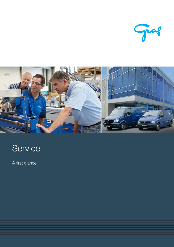



# Service

A first glance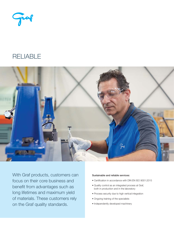Juan

### **RELIABLE**



With Graf products, customers can focus on their core business and benefit from advantages such as long lifetimes and maximum yield of materials. These customers rely on the Graf quality standards.

#### Sustainable and reliable services:

- Certification in accordance with DIN EN ISO 9001:2015
- Quality control as an integrated process at Graf, both in production and in the laboratory
- Process security due to high vertical integration
- Ongoing training of the specialists
- Independently developed machinery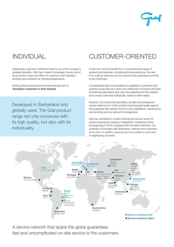

## INDIVIDUAL

Addressing customers' individual needs is one of the company's greatest strengths. Graf has in-depth knowledge of every one of its production steps and offers its customers both standard products and products for individual applications.

Existing Graf products and innovations always aim to strengthen customers in their markets.

Developed in Switzerland and globally used. The Graf product range not only convinces with its high quality, but also with its individuality.

## CUSTOMER-ORIENTED

Customers not only benefit from a comprehensive range of products and services, including technical assistance, but also from a global sales and service network that guarantees proximity to the customers.

A professional team of consultants is available to customers and partners at any time as a direct and initial point of contact with Graf. As technical specialists, they carry the expertise into the markets and consult customers individually, based on their needs.

However, it is not just the specialists, but also the professional service stations in 21 of the world's most important textile regions that guarantee fast reaction times for new installations, maintenance and servicing work as well as for emergencies.

Graf has maintained a modern training and service center for product and service training in Rapperswil, Switzerland since the beginning of 2016. Equipped with the latest machines, it is possible to thoroughly train employees, partners and customers at any time. In addition, services can be provided to customers in neighboring countries.



A service network that spans the globe guarantees fast and uncomplicated on-site service to the customers.